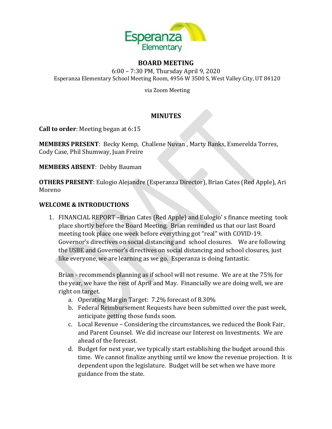

#### **BOARD MEETING**

6:00 – 7:30 PM, Thursday April 9, 2020 Esperanza Elementary School Meeting Room, 4956 W 3500 S, West Valley City, UT 84120

via Zoom Meeting

# **MINUTES**

**Call to order**: Meeting began at 6:15

**MEMBERS PRESENT**: Becky Kemp, Challene Nuvan , Marty Banks, Esmerelda Torres, Cody Case, Phil Shumway, Juan Freire

**MEMBERS ABSENT**: Debby Bauman

**OTHERS PRESENT**: Eulogio Alejandre (Esperanza Director), Brian Cates (Red Apple), Ari Moreno

### **WELCOME & INTRODUCTIONS**

1. FINANCIAL REPORT –Brian Cates (Red Apple) and Eulogio' s finance meeting took place shortly before the Board Meeting. Brian reminded us that our last Board meeting took place one week before everything got "real" with COVID-19. Governor's directives on social distancing and school closures. We are following the USBE and Governor's directives on social distancing and school closures, just like everyone, we are learning as we go. Esperanza is doing fantastic.

Brian - recommends planning as if school will not resume. We are at the 75% for the year, we have the rest of April and May. Financially we are doing well, we are right on target.

- a. Operating Margin Target: 7.2% forecast of 8.30%
- b. Federal Reimbursement Requests have been submitted over the past week, anticipate getting those funds soon.
- c. Local Revenue Considering the circumstances, we reduced the Book Fair, and Parent Counsel. We did increase our Interest on Investments. We are ahead of the forecast.
- d. Budget for next year, we typically start establishing the budget around this time. We cannot finalize anything until we know the revenue projection. It is dependent upon the legislature. Budget will be set when we have more guidance from the state.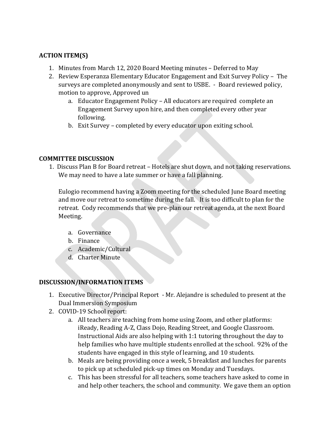## **ACTION ITEM(S)**

- 1. Minutes from March 12, 2020 Board Meeting minutes Deferred to May
- 2. Review Esperanza Elementary Educator Engagement and Exit Survey Policy The surveys are completed anonymously and sent to USBE. - Board reviewed policy, motion to approve, Approved un
	- a. Educator Engagement Policy All educators are required complete an Engagement Survey upon hire, and then completed every other year following.
	- b. Exit Survey completed by every educator upon exiting school.

### **COMMITTEE DISCUSSION**

1. Discuss Plan B for Board retreat – Hotels are shut down, and not taking reservations. We may need to have a late summer or have a fall planning.

Eulogio recommend having a Zoom meeting for the scheduled June Board meeting and move our retreat to sometime during the fall. It is too difficult to plan for the retreat. Cody recommends that we pre-plan our retreat agenda, at the next Board Meeting.

- a. Governance
- b. Finance
- c. Academic/Cultural
- d. Charter Minute

### **DISCUSSION/INFORMATION ITEMS**

- 1. Executive Director/Principal Report Mr. Alejandre is scheduled to present at the Dual Immersion Symposium
- 2. COVID-19 School report:
	- a. All teachers are teaching from home using Zoom, and other platforms: iReady, Reading A-Z, Class Dojo, Reading Street, and Google Classroom. Instructional Aids are also helping with 1:1 tutoring throughout the day to help families who have multiple students enrolled at the school. 92% of the students have engaged in this style of learning, and 10 students.
	- b. Meals are being providing once a week, 5 breakfast and lunches for parents to pick up at scheduled pick-up times on Monday and Tuesdays.
	- c. This has been stressful for all teachers, some teachers have asked to come in and help other teachers, the school and community. We gave them an option